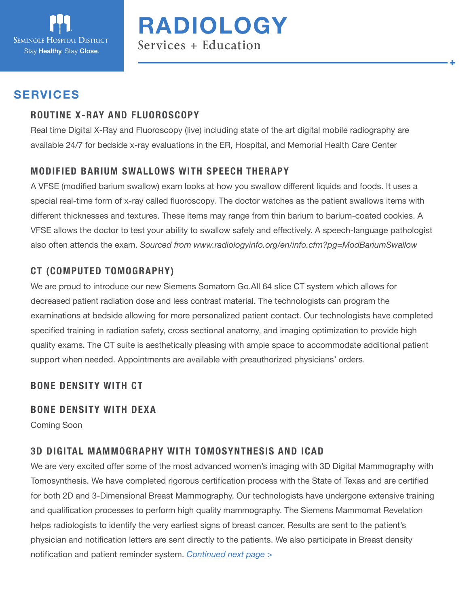

**RADIOLOGY** Services + Education

## **SERVICES**

#### **ROUTINE X-RAY AND FLUOROSCOPY**

Real time Digital X-Ray and Fluoroscopy (live) including state of the art digital mobile radiography are available 24/7 for bedside x-ray evaluations in the ER, Hospital, and Memorial Health Care Center

#### **MODIFIED BARIUM SWALLOWS WITH SPEECH THERAPY**

A VFSE (modified barium swallow) exam looks at how you swallow different liquids and foods. It uses a special real-time form of x-ray called fluoroscopy. The doctor watches as the patient swallows items with different thicknesses and textures. These items may range from thin barium to barium-coated cookies. A VFSE allows the doctor to test your ability to swallow safely and effectively. A speech-language pathologist also often attends the exam. *Sourced from www.radiologyinfo.org/en/info.cfm?pg=ModBariumSwallow*

## **CT (COMPUTED TOMOGRAPHY)**

We are proud to introduce our new Siemens Somatom Go.All 64 slice CT system which allows for decreased patient radiation dose and less contrast material. The technologists can program the examinations at bedside allowing for more personalized patient contact. Our technologists have completed specified training in radiation safety, cross sectional anatomy, and imaging optimization to provide high quality exams. The CT suite is aesthetically pleasing with ample space to accommodate additional patient support when needed. Appointments are available with preauthorized physicians' orders.

#### **BONE DENSITY WITH CT**

#### **BONE DENSITY WITH DEXA**

Coming Soon

## **3D DIGITAL MAMMOGRAPHY WITH TOMOSYNTHESIS AND ICAD**

We are very excited offer some of the most advanced women's imaging with 3D Digital Mammography with Tomosynthesis. We have completed rigorous certification process with the State of Texas and are certified for both 2D and 3-Dimensional Breast Mammography. Our technologists have undergone extensive training and qualification processes to perform high quality mammography. The Siemens Mammomat Revelation helps radiologists to identify the very earliest signs of breast cancer. Results are sent to the patient's physician and notification letters are sent directly to the patients. We also participate in Breast density notification and patient reminder system. *Continued next page >*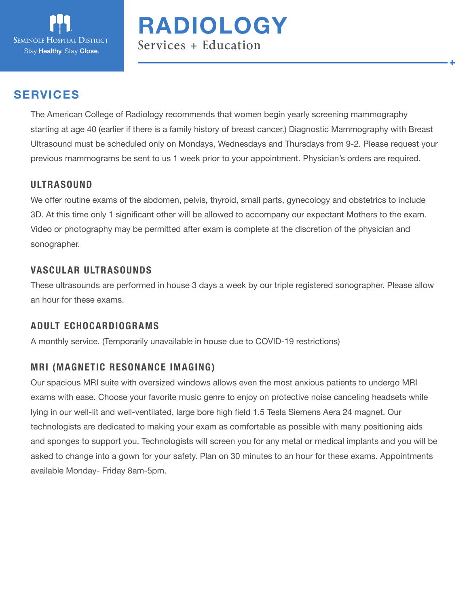

# **RADIOLOGY** Services + Education

# **SERVICES**

The American College of Radiology recommends that women begin yearly screening mammography starting at age 40 (earlier if there is a family history of breast cancer.) Diagnostic Mammography with Breast Ultrasound must be scheduled only on Mondays, Wednesdays and Thursdays from 9-2. Please request your previous mammograms be sent to us 1 week prior to your appointment. Physician's orders are required.

#### **ULTRASOUND**

We offer routine exams of the abdomen, pelvis, thyroid, small parts, gynecology and obstetrics to include 3D. At this time only 1 significant other will be allowed to accompany our expectant Mothers to the exam. Video or photography may be permitted after exam is complete at the discretion of the physician and sonographer.

#### **VASCULAR ULTRASOUNDS**

These ultrasounds are performed in house 3 days a week by our triple registered sonographer. Please allow an hour for these exams.

#### **ADULT ECHOCARDIOGRAMS**

A monthly service. (Temporarily unavailable in house due to COVID-19 restrictions)

#### **MRI (MAGNETIC RESONANCE IMAGING)**

Our spacious MRI suite with oversized windows allows even the most anxious patients to undergo MRI exams with ease. Choose your favorite music genre to enjoy on protective noise canceling headsets while lying in our well-lit and well-ventilated, large bore high field 1.5 Tesla Siemens Aera 24 magnet. Our technologists are dedicated to making your exam as comfortable as possible with many positioning aids and sponges to support you. Technologists will screen you for any metal or medical implants and you will be asked to change into a gown for your safety. Plan on 30 minutes to an hour for these exams. Appointments available Monday- Friday 8am-5pm.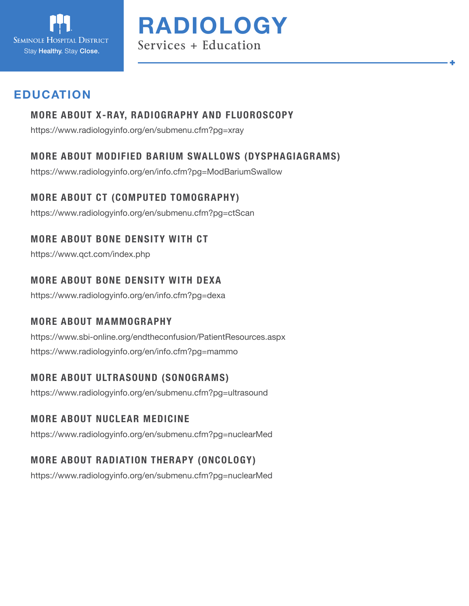



# **EDUCATION**

## **MORE ABOUT X-RAY, RADIOGRAPHY AND FLUOROSCOPY**

https://www.radiologyinfo.org/en/submenu.cfm?pg=xray

## **MORE ABOUT MODIFIED BARIUM SWALLOWS (DYSPHAGIAGRAMS)**

https://www.radiologyinfo.org/en/info.cfm?pg=ModBariumSwallow

## **MORE ABOUT CT (COMPUTED TOMOGRAPHY)**

https://www.radiologyinfo.org/en/submenu.cfm?pg=ctScan

## **MORE ABOUT BONE DENSITY WITH CT**

https://www.qct.com/index.php

#### **MORE ABOUT BONE DENSITY WITH DEXA**

https://www.radiologyinfo.org/en/info.cfm?pg=dexa

#### **MORE ABOUT MAMMOGRAPHY**

https://www.sbi-online.org/endtheconfusion/PatientResources.aspx https://www.radiologyinfo.org/en/info.cfm?pg=mammo

## **MORE ABOUT ULTRASOUND (SONOGRAMS)**

https://www.radiologyinfo.org/en/submenu.cfm?pg=ultrasound

## **MORE ABOUT NUCLEAR MEDICINE**

https://www.radiologyinfo.org/en/submenu.cfm?pg=nuclearMed

# **MORE ABOUT RADIATION THERAPY (ONCOLOGY)**

https://www.radiologyinfo.org/en/submenu.cfm?pg=nuclearMed